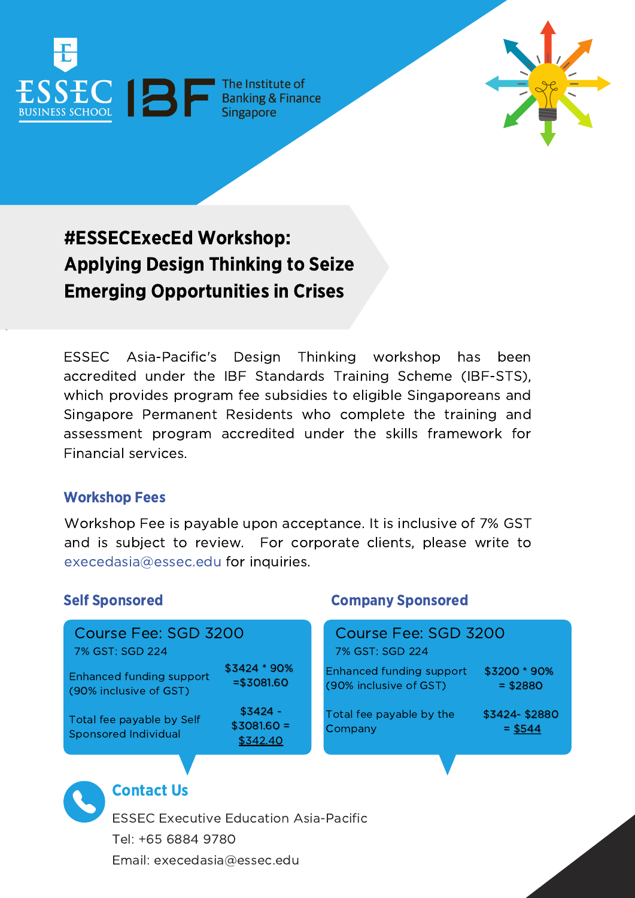

\$3200 \* 90% = \$2880

24-\$2880  $= $544$ 

# #ESSECExecEd Workshop: Applying Design Thinking to Seize Emerging Opportunities in Crises

ESSEC Asia-Pacific's Design Thinking workshop has been accredited under the IBF Standards Training Scheme (IBF-STS), which provides program fee subsidies to eligible Singaporeans and Singapore Permanent Residents who complete the training and assessment program accredited under the skills framework for Financial services.

# Workshop Fees

Workshop Fee is payable upon acceptance. It is inclusive of 7% GST and is subject to review. For corporate clients, please write to [execedasia@essec.edu](mailto:execedasia@essec.edu) for inquiries.

# Self Sponsored Company Sponsored

| Course Fee: SGD 3200                                                  |                                       | Course Fee: SGD 3200                                                  |              |
|-----------------------------------------------------------------------|---------------------------------------|-----------------------------------------------------------------------|--------------|
| 7% GST: SGD 224<br>Enhanced funding support<br>(90% inclusive of GST) | \$3424 * 90%<br>$= $3081.60$          | 7% GST: SGD 224<br>Enhanced funding support<br>(90% inclusive of GST) | \$320<br>$=$ |
| Total fee payable by Self<br><b>Sponsored Individual</b>              | $$3424 -$<br>$$3081.60 =$<br>\$342.40 | Total fee payable by the<br>Company                                   | \$342<br>Ξ   |



# Contact Us

ESSEC Executive Education Asia-Pacific Tel: +65 6884 9780 Email: execedasia@essec.edu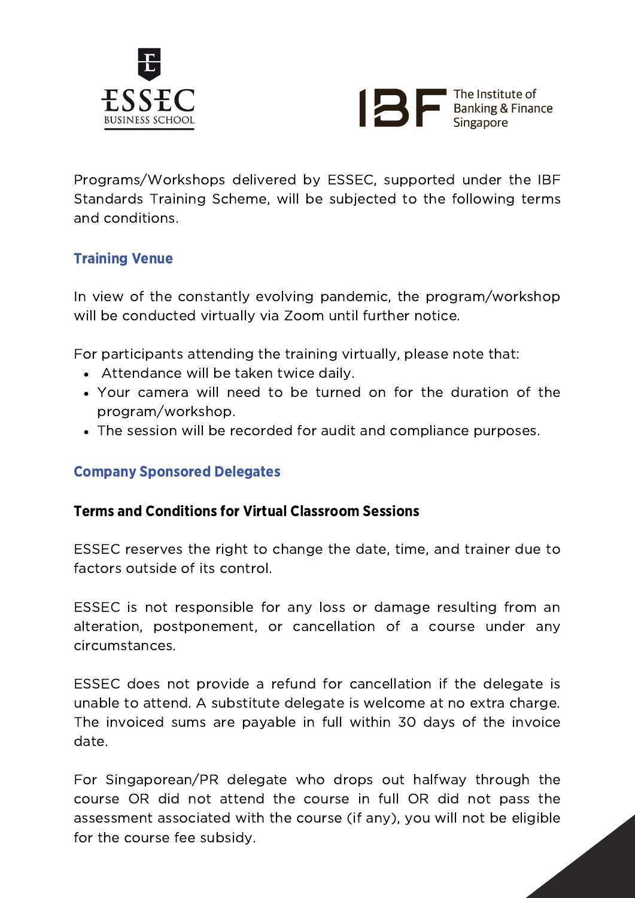



Programs/Workshops delivered by ESSEC, supported under the IBF Standards Training Scheme, will be subjected to the following terms and conditions.

# Training Venue

In view of the constantly evolving pandemic, the program/workshop will be conducted virtually via Zoom until further notice.

For participants attending the training virtually, please note that:

- Attendance will be taken twice daily.
- Your camera will need to be turned on for the duration of the program/workshop.
- The session will be recorded for audit and compliance purposes.

# Company Sponsored Delegates

### Terms and Conditions for Virtual Classroom Sessions

ESSEC reserves the right to change the date, time, and trainer due to factors outside of its control.

ESSEC is not responsible for any loss or damage resulting from an alteration, postponement, or cancellation of a course under any circumstances.

ESSEC does not provide a refund for cancellation if the delegate is unable to attend. A substitute delegate is welcome at no extra charge. The invoiced sums are payable in full within 30 days of the invoice date.

For Singaporean/PR delegate who drops out halfway through the course OR did not attend the course in full OR did not pass the assessment associated with the course (if any), you will not be eligible for the course fee subsidy.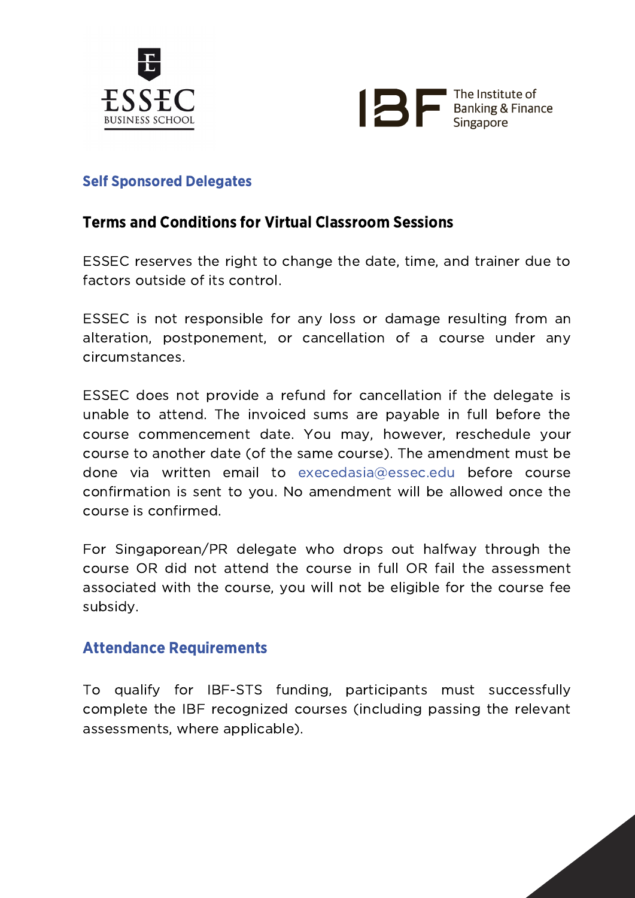



# Self Sponsored Delegates

# Terms and Conditions for Virtual Classroom Sessions

ESSEC reserves the right to change the date, time, and trainer due to factors outside of its control.

ESSEC is not responsible for any loss or damage resulting from an alteration, postponement, or cancellation of a course under any circumstances.

ESSEC does not provide a refund for cancellation if the delegate is unable to attend. The invoiced sums are payable in full before the course commencement date. You may, however, reschedule your course to another date (of the same course). The amendment must be done via written email to execedasia@essec.edu before course confirmation is sent to you. No amendment will be allowed once the course is confirmed.

For Singaporean/PR delegate who drops out halfway through the course OR did not attend the course in full OR fail the assessment associated with the course, you will not be eligible for the course fee subsidy.

# Attendance Requirements

To qualify for IBF-STS funding, participants must successfully complete the IBF recognized courses (including passing the relevant assessments, where applicable).